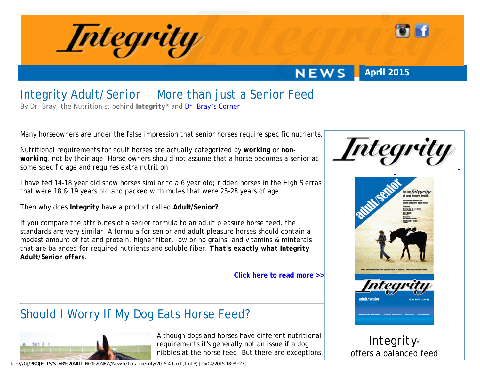

**NEWS April 2015**

## Integrity Adult/Senior — More than just a Senior Feed

By Dr. Bray, the Nutritionist behind *Integrity*® and Dr. Bray'[s Corner](http://www.starmilling.com/bray-index.php)

Many horseowners are under the false impression that senior horses require specific nutrients.

Nutritional requirements for adult horses are actually categorized by *working* or *nonworking*, not by their age. Horse owners should not assume that a horse becomes a senior at some specific age and requires extra nutrition.

I have fed 14-18 year old show horses similar to a 6 year old; ridden horses in the High Sierras that were 18 & 19 years old and packed with mules that were 25-28 years of age.

Then why does *Integrity* have a product called **Adult/Senior?**

If you compare the attributes of a senior formula to an adult pleasure horse feed, the standards are very similar. A formula for senior and adult pleasure horses should contain a modest amount of fat and protein, higher fiber, low or no grains, and vitamins & minterals that are balanced for required nutrients and soluble fiber. *That's exactly what Integrity Adult/Senior offers*.

**[Click here to read more >>](http://www.starmilling.com/bray-what-to-feed-your-senior-horse.php#part2)**





# Should I Worry If My Dog Eats Horse Feed?



Although dogs and horses have different nutritional requirements it's generally not an issue if a dog nibbles at the horse feed. But there are exceptions.

file:///G|/PROJECTS/STAR%20MILLING%20NEW/Newsletters-Integrity/2015-4.html (1 of 3) [25/04/2015 18:39:27]

*Integrity*® offers a balanced feed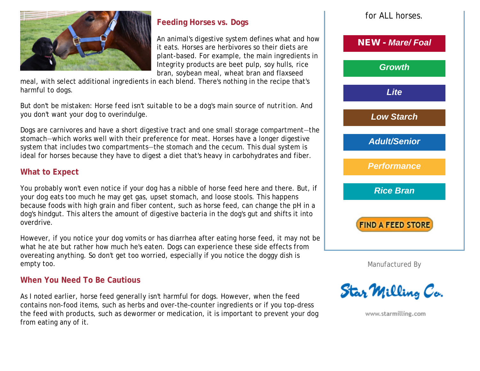

## **Feeding Horses vs. Dogs**

An animal's digestive system defines what and how it eats. Horses are herbivores so their diets are plant-based. For example, the main ingredients in Integrity products are beet pulp, soy hulls, rice bran, soybean meal, wheat bran and flaxseed

meal, with select additional ingredients in each blend. There's nothing in the recipe that's harmful to dogs.

But don't be mistaken: *Horse feed isn't suitable to be a dog's main source of nutrition*. And you don't want your dog to overindulge.

Dogs are carnivores and have a short digestive tract and one small storage compartment—the stomach—which works well with their preference for meat. Horses have a longer digestive system that includes two compartments—the stomach and the cecum. This dual system is ideal for horses because they have to digest a diet that's heavy in carbohydrates and fiber.

### **What to Expect**

You probably won't even notice if your dog has a nibble of horse feed here and there. But, if your dog eats too much he may get gas, upset stomach, and loose stools. This happens because foods with high grain and fiber content, such as horse feed, can change the pH in a dog's hindgut. This alters the amount of digestive bacteria in the dog's gut and shifts it into overdrive.

However, if you notice your dog vomits or has diarrhea after eating horse feed, it may not be what he ate but rather how much he's eaten. Dogs can experience these side effects from overeating anything. So don't get too worried, especially if you notice the doggy dish is empty too.

#### **When You Need To Be Cautious**

As I noted earlier, horse feed *generally* isn't harmful for dogs. However, when the feed contains non-food items, such as herbs and over-the-counter ingredients or if you top-dress the feed with products, such as dewormer or medication, it is important to prevent your dog from eating any of it.



Manufactured By

**Star Milling Co.** 

www.starmilling.com